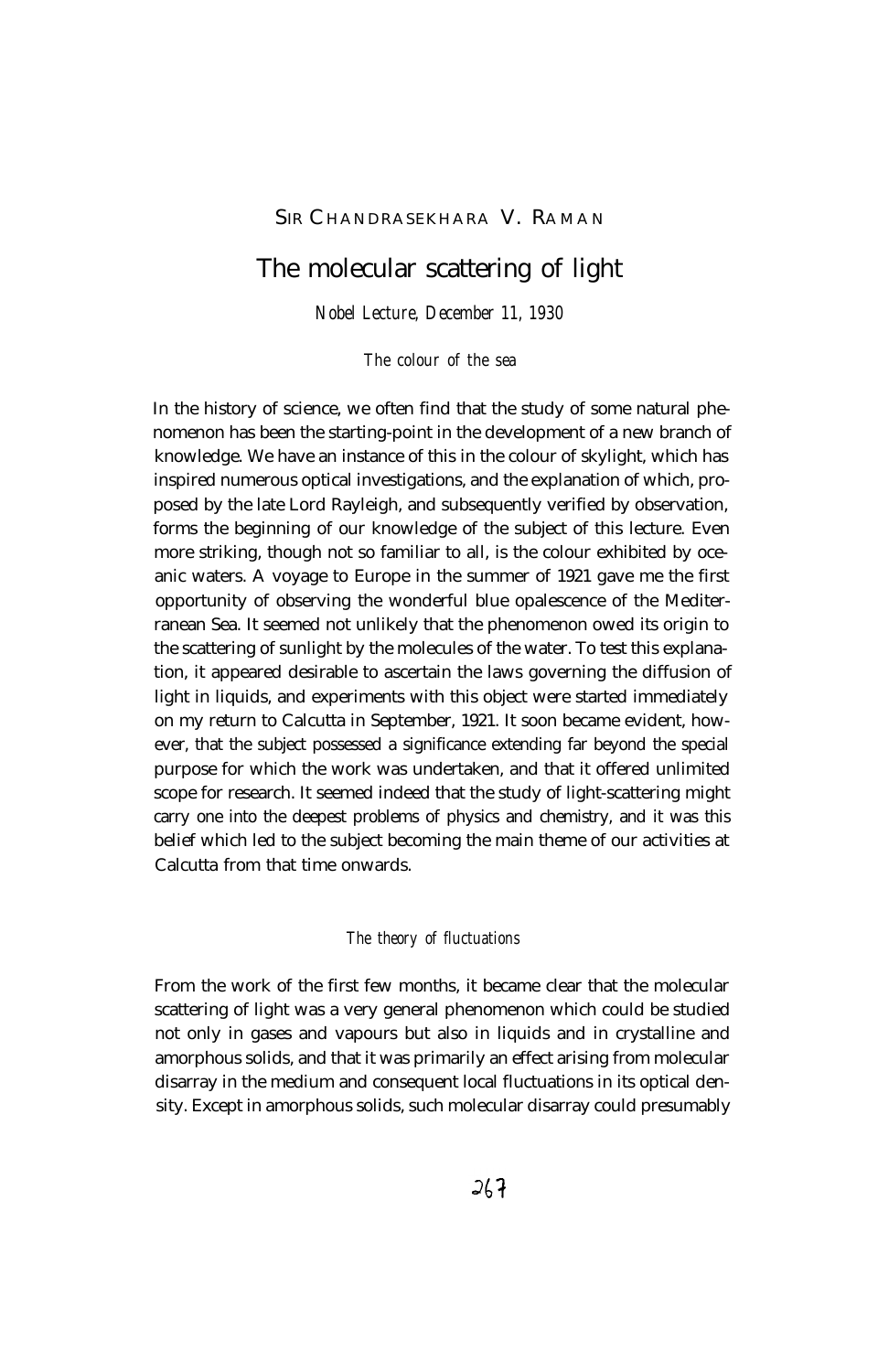# SIR C HANDRASEKHARA V. RAMA N

# The molecular scattering of light

*Nobel Lecture, December 11, 1930*

*The colour of the sea*

In the history of science, we often find that the study of some natural phenomenon has been the starting-point in the development of a new branch of knowledge. We have an instance of this in the colour of skylight, which has inspired numerous optical investigations, and the explanation of which, proposed by the late Lord Rayleigh, and subsequently verified by observation, forms the beginning of our knowledge of the subject of this lecture. Even more striking, though not so familiar to all, is the colour exhibited by oceanic waters. A voyage to Europe in the summer of 1921 gave me the first opportunity of observing the wonderful blue opalescence of the Mediterranean Sea. It seemed not unlikely that the phenomenon owed its origin to the scattering of sunlight by the molecules of the water. To test this explanation, it appeared desirable to ascertain the laws governing the diffusion of light in liquids, and experiments with this object were started immediately on my return to Calcutta in September, 1921. It soon became evident, however, that the subject possessed a significance extending far beyond the special purpose for which the work was undertaken, and that it offered unlimited scope for research. It seemed indeed that the study of light-scattering might carry one into the deepest problems of physics and chemistry, and it was this belief which led to the subject becoming the main theme of our activities at Calcutta from that time onwards.

# *The theory of fluctuations*

From the work of the first few months, it became clear that the molecular scattering of light was a very general phenomenon which could be studied not only in gases and vapours but also in liquids and in crystalline and amorphous solids, and that it was primarily an effect arising from molecular disarray in the medium and consequent local fluctuations in its optical density. Except in amorphous solids, such molecular disarray could presumably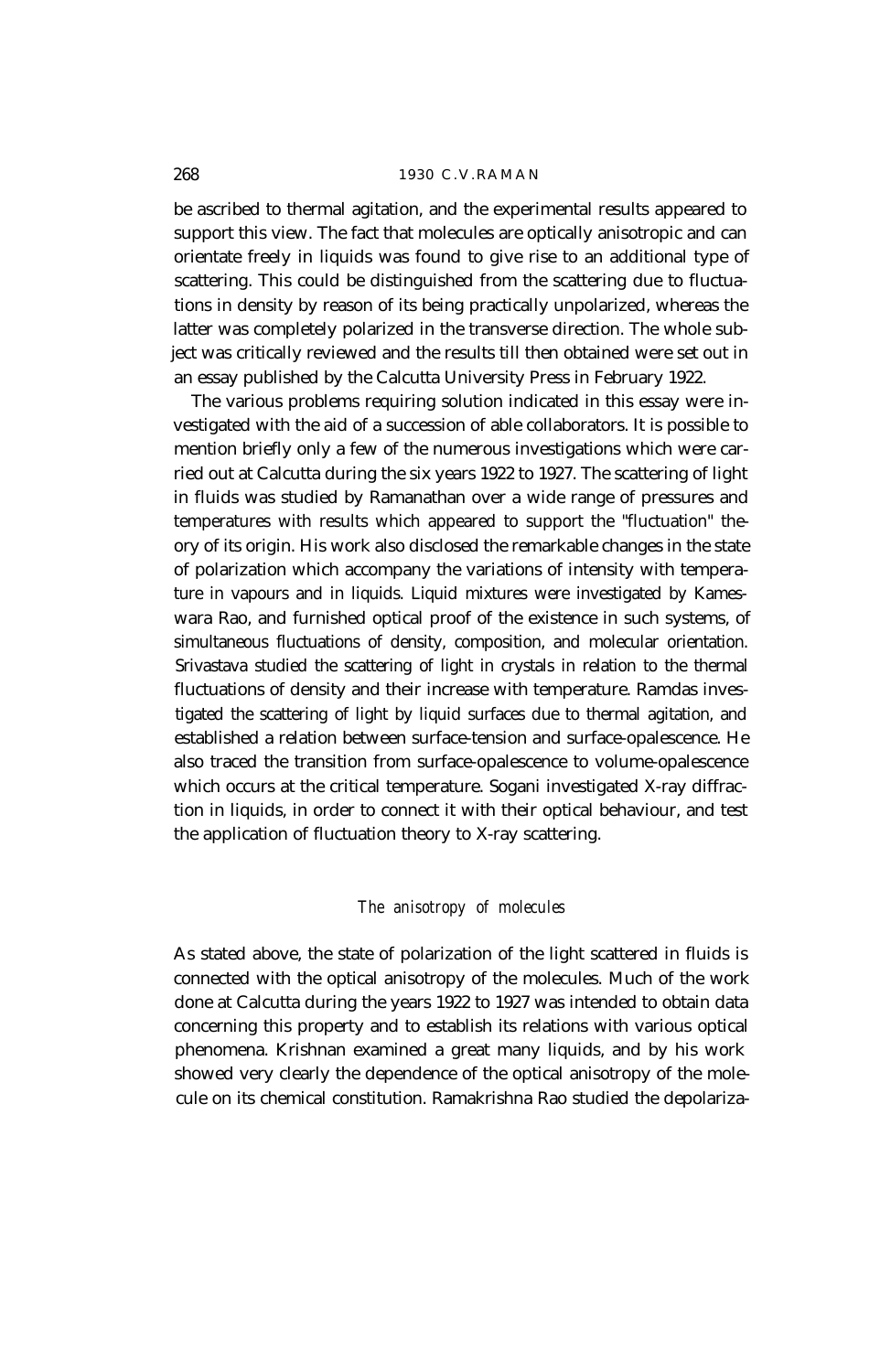#### 268 1930 C.V.RAMAN

be ascribed to thermal agitation, and the experimental results appeared to support this view. The fact that molecules are optically anisotropic and can orientate freely in liquids was found to give rise to an additional type of scattering. This could be distinguished from the scattering due to fluctuations in density by reason of its being practically unpolarized, whereas the latter was completely polarized in the transverse direction. The whole subject was critically reviewed and the results till then obtained were set out in an essay published by the Calcutta University Press in February 1922.

The various problems requiring solution indicated in this essay were investigated with the aid of a succession of able collaborators. It is possible to mention briefly only a few of the numerous investigations which were carried out at Calcutta during the six years 1922 to 1927. The scattering of light in fluids was studied by Ramanathan over a wide range of pressures and temperatures with results which appeared to support the "fluctuation" theory of its origin. His work also disclosed the remarkable changes in the state of polarization which accompany the variations of intensity with temperature in vapours and in liquids. Liquid mixtures were investigated by Kameswara Rao, and furnished optical proof of the existence in such systems, of simultaneous fluctuations of density, composition, and molecular orientation. Srivastava studied the scattering of light in crystals in relation to the thermal fluctuations of density and their increase with temperature. Ramdas investigated the scattering of light by liquid surfaces due to thermal agitation, and established a relation between surface-tension and surface-opalescence. He also traced the transition from surface-opalescence to volume-opalescence which occurs at the critical temperature. Sogani investigated X-ray diffraction in liquids, in order to connect it with their optical behaviour, and test the application of fluctuation theory to X-ray scattering.

### *The anisotropy of molecules*

As stated above, the state of polarization of the light scattered in fluids is connected with the optical anisotropy of the molecules. Much of the work done at Calcutta during the years 1922 to 1927 was intended to obtain data concerning this property and to establish its relations with various optical phenomena. Krishnan examined a great many liquids, and by his work showed very clearly the dependence of the optical anisotropy of the molecule on its chemical constitution. Ramakrishna Rao studied the depolariza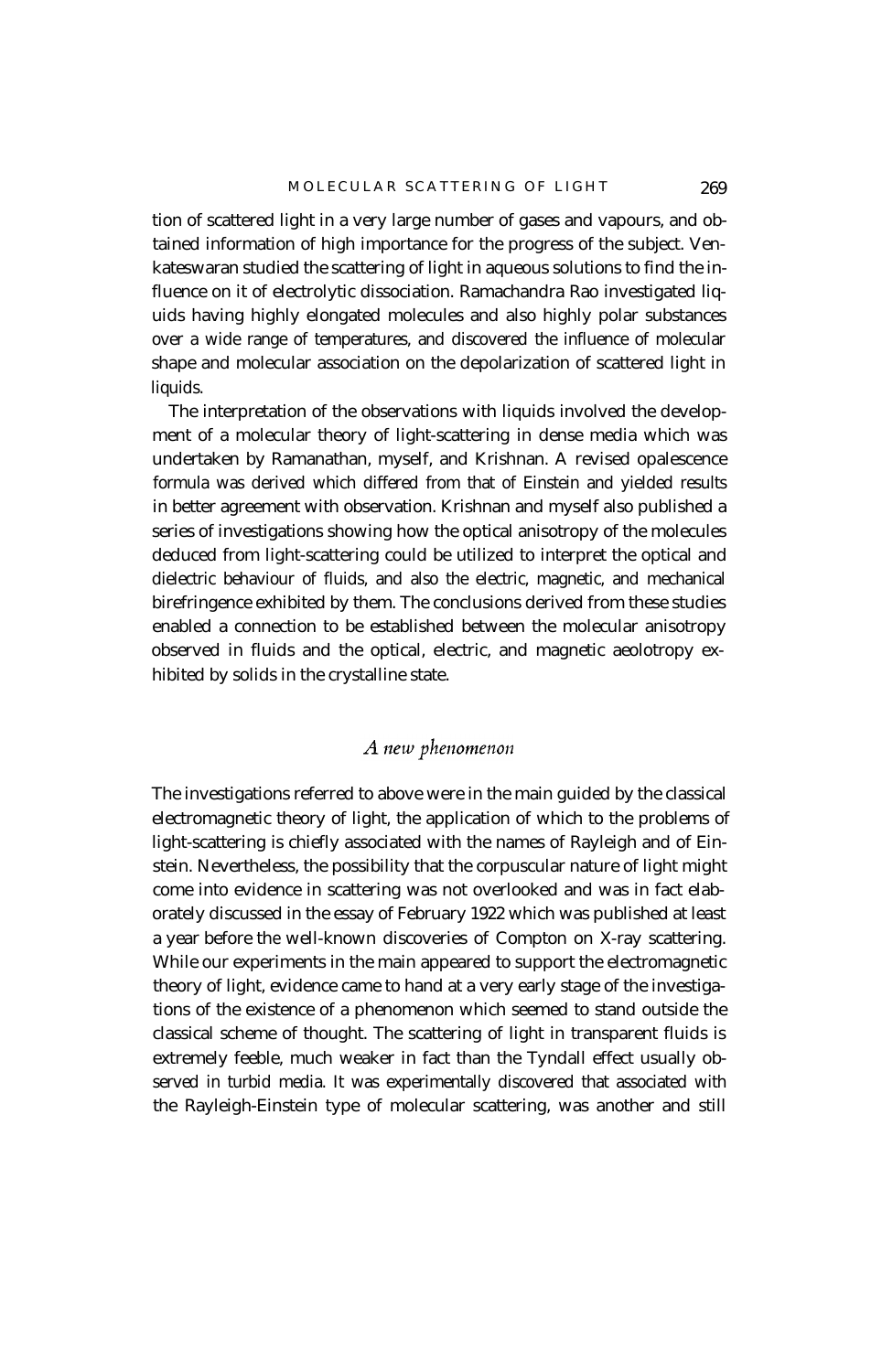tion of scattered light in a very large number of gases and vapours, and obtained information of high importance for the progress of the subject. Venkateswaran studied the scattering of light in aqueous solutions to find the influence on it of electrolytic dissociation. Ramachandra Rao investigated liquids having highly elongated molecules and also highly polar substances over a wide range of temperatures, and discovered the influence of molecular shape and molecular association on the depolarization of scattered light in liquids.

The interpretation of the observations with liquids involved the development of a molecular theory of light-scattering in dense media which was undertaken by Ramanathan, myself, and Krishnan. A revised opalescence formula was derived which differed from that of Einstein and yielded results in better agreement with observation. Krishnan and myself also published a series of investigations showing how the optical anisotropy of the molecules deduced from light-scattering could be utilized to interpret the optical and dielectric behaviour of fluids, and also the electric, magnetic, and mechanical birefringence exhibited by them. The conclusions derived from these studies enabled a connection to be established between the molecular anisotropy observed in fluids and the optical, electric, and magnetic aeolotropy exhibited by solids in the crystalline state.

# $A$  new phenomenon

The investigations referred to above were in the main guided by the classical electromagnetic theory of light, the application of which to the problems of light-scattering is chiefly associated with the names of Rayleigh and of Einstein. Nevertheless, the possibility that the corpuscular nature of light might come into evidence in scattering was not overlooked and was in fact elaborately discussed in the essay of February 1922 which was published at least a year before the well-known discoveries of Compton on X-ray scattering. While our experiments in the main appeared to support the electromagnetic theory of light, evidence came to hand at a very early stage of the investigations of the existence of a phenomenon which seemed to stand outside the classical scheme of thought. The scattering of light in transparent fluids is extremely feeble, much weaker in fact than the Tyndall effect usually observed in turbid media. It was experimentally discovered that associated with the Rayleigh-Einstein type of molecular scattering, was another and still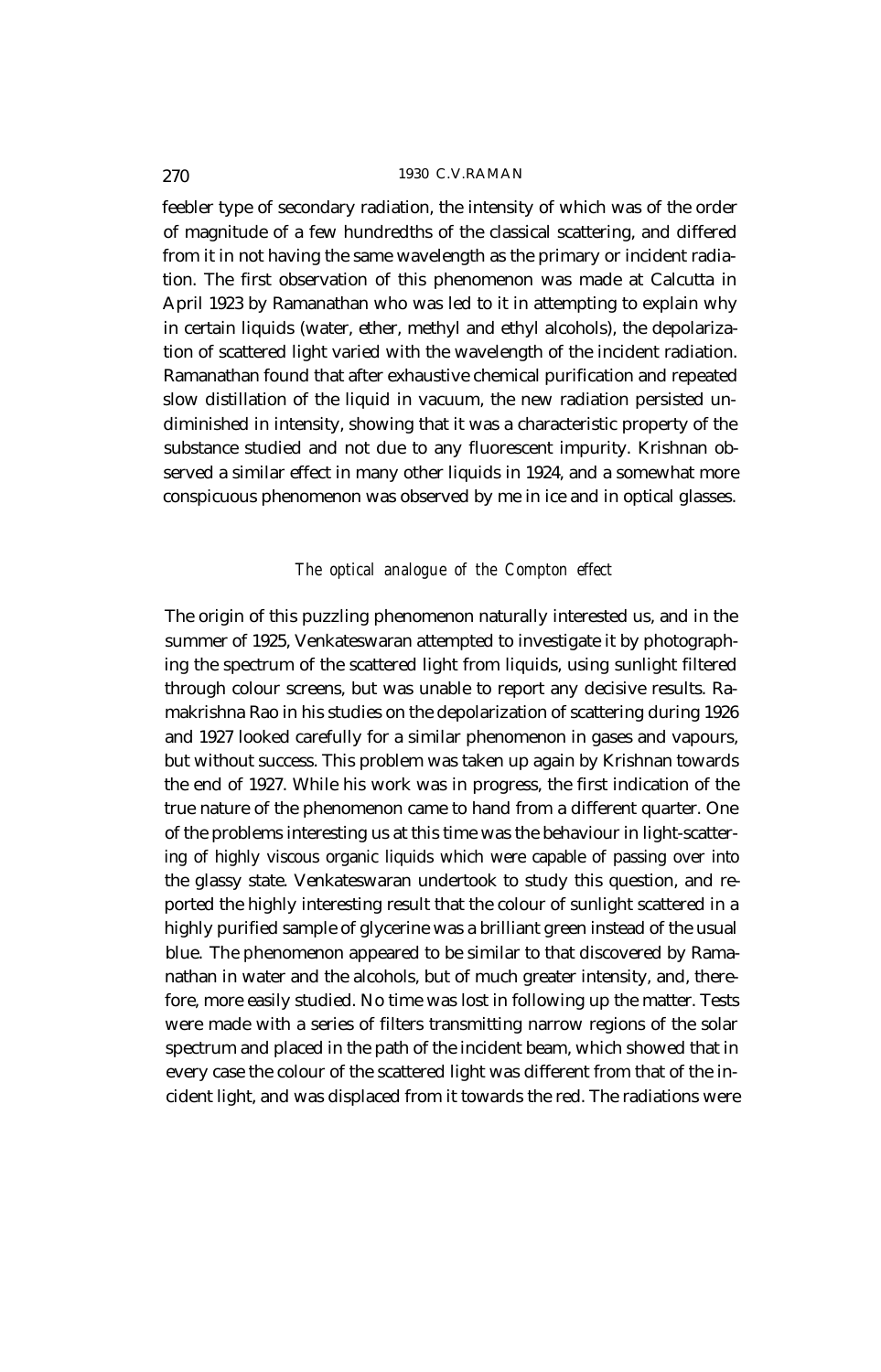#### 270 1930 C.V.RAMAN

feebler type of secondary radiation, the intensity of which was of the order of magnitude of a few hundredths of the classical scattering, and differed from it in not having the same wavelength as the primary or incident radiation. The first observation of this phenomenon was made at Calcutta in April 1923 by Ramanathan who was led to it in attempting to explain why in certain liquids (water, ether, methyl and ethyl alcohols), the depolarization of scattered light varied with the wavelength of the incident radiation. Ramanathan found that after exhaustive chemical purification and repeated slow distillation of the liquid in vacuum, the new radiation persisted undiminished in intensity, showing that it was a characteristic property of the substance studied and not due to any fluorescent impurity. Krishnan observed a similar effect in many other liquids in 1924, and a somewhat more conspicuous phenomenon was observed by me in ice and in optical glasses.

# *The optical analogue of the Compton effect*

The origin of this puzzling phenomenon naturally interested us, and in the summer of 1925, Venkateswaran attempted to investigate it by photographing the spectrum of the scattered light from liquids, using sunlight filtered through colour screens, but was unable to report any decisive results. Ramakrishna Rao in his studies on the depolarization of scattering during 1926 and 1927 looked carefully for a similar phenomenon in gases and vapours, but without success. This problem was taken up again by Krishnan towards the end of 1927. While his work was in progress, the first indication of the true nature of the phenomenon came to hand from a different quarter. One of the problems interesting us at this time was the behaviour in light-scattering of highly viscous organic liquids which were capable of passing over into the glassy state. Venkateswaran undertook to study this question, and reported the highly interesting result that the colour of sunlight scattered in a highly purified sample of glycerine was a brilliant green instead of the usual blue. The phenomenon appeared to be similar to that discovered by Ramanathan in water and the alcohols, but of much greater intensity, and, therefore, more easily studied. No time was lost in following up the matter. Tests were made with a series of filters transmitting narrow regions of the solar spectrum and placed in the path of the incident beam, which showed that in every case the colour of the scattered light was different from that of the incident light, and was displaced from it towards the red. The radiations were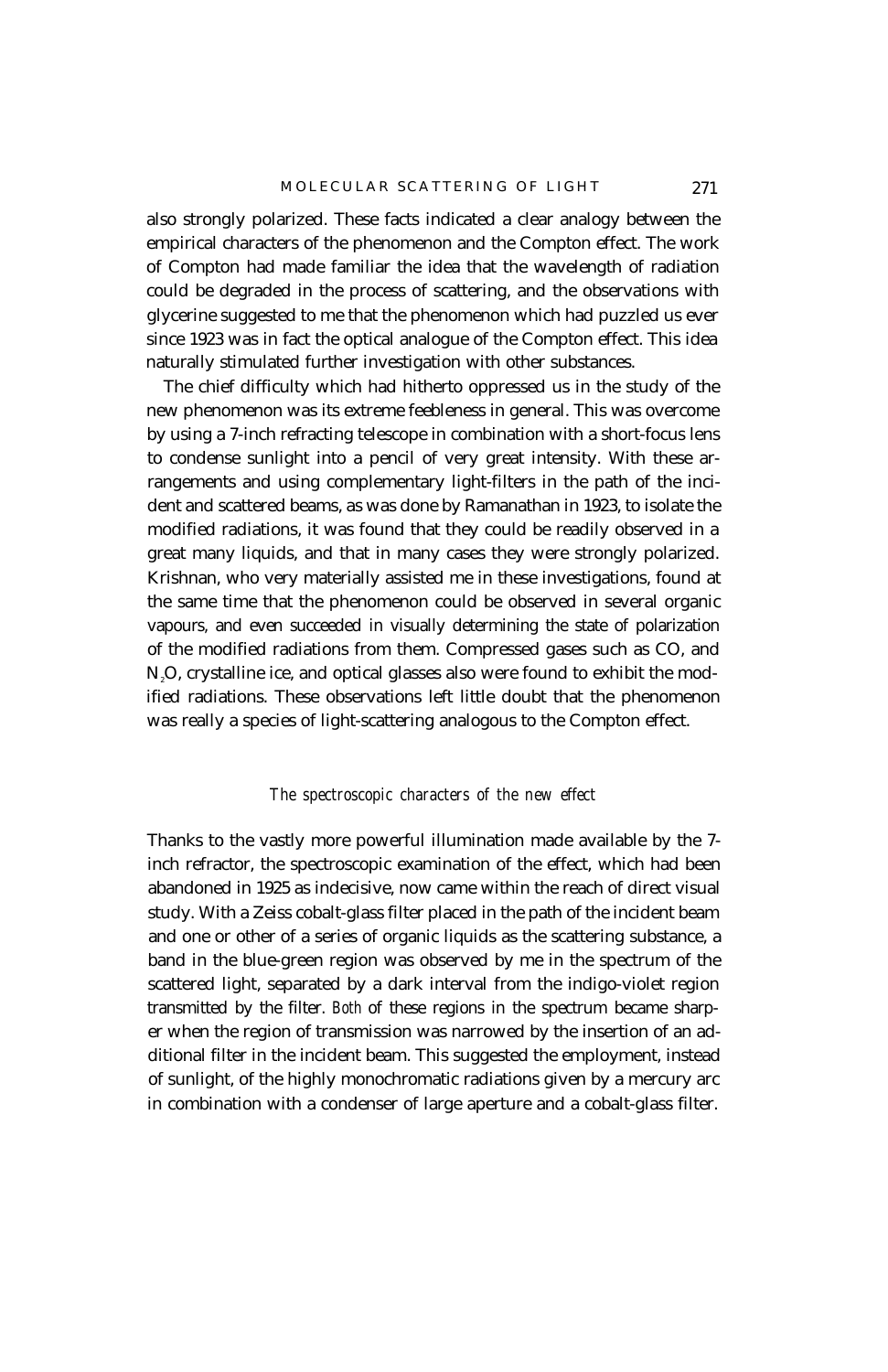also strongly polarized. These facts indicated a clear analogy between the empirical characters of the phenomenon and the Compton effect. The work of Compton had made familiar the idea that the wavelength of radiation could be degraded in the process of scattering, and the observations with glycerine suggested to me that the phenomenon which had puzzled us ever since 1923 was in fact the optical analogue of the Compton effect. This idea naturally stimulated further investigation with other substances.

The chief difficulty which had hitherto oppressed us in the study of the new phenomenon was its extreme feebleness in general. This was overcome by using a 7-inch refracting telescope in combination with a short-focus lens to condense sunlight into a pencil of very great intensity. With these arrangements and using complementary light-filters in the path of the incident and scattered beams, as was done by Ramanathan in 1923, to isolate the modified radiations, it was found that they could be readily observed in a great many liquids, and that in many cases they were strongly polarized. Krishnan, who very materially assisted me in these investigations, found at the same time that the phenomenon could be observed in several organic vapours, and even succeeded in visually determining the state of polarization of the modified radiations from them. Compressed gases such as CO, and N2O, crystalline ice, and optical glasses also were found to exhibit the modified radiations. These observations left little doubt that the phenomenon was really a species of light-scattering analogous to the Compton effect.

#### *The spectroscopic characters of the new effect*

Thanks to the vastly more powerful illumination made available by the 7 inch refractor, the spectroscopic examination of the effect, which had been abandoned in 1925 as indecisive, now came within the reach of direct visual study. With a Zeiss cobalt-glass filter placed in the path of the incident beam and one or other of a series of organic liquids as the scattering substance, a band in the blue-green region was observed by me in the spectrum of the scattered light, separated by a dark interval from the indigo-violet region transmitted by the filter. *Both* of these regions in the spectrum became sharper when the region of transmission was narrowed by the insertion of an additional filter in the incident beam. This suggested the employment, instead of sunlight, of the highly monochromatic radiations given by a mercury arc in combination with a condenser of large aperture and a cobalt-glass filter.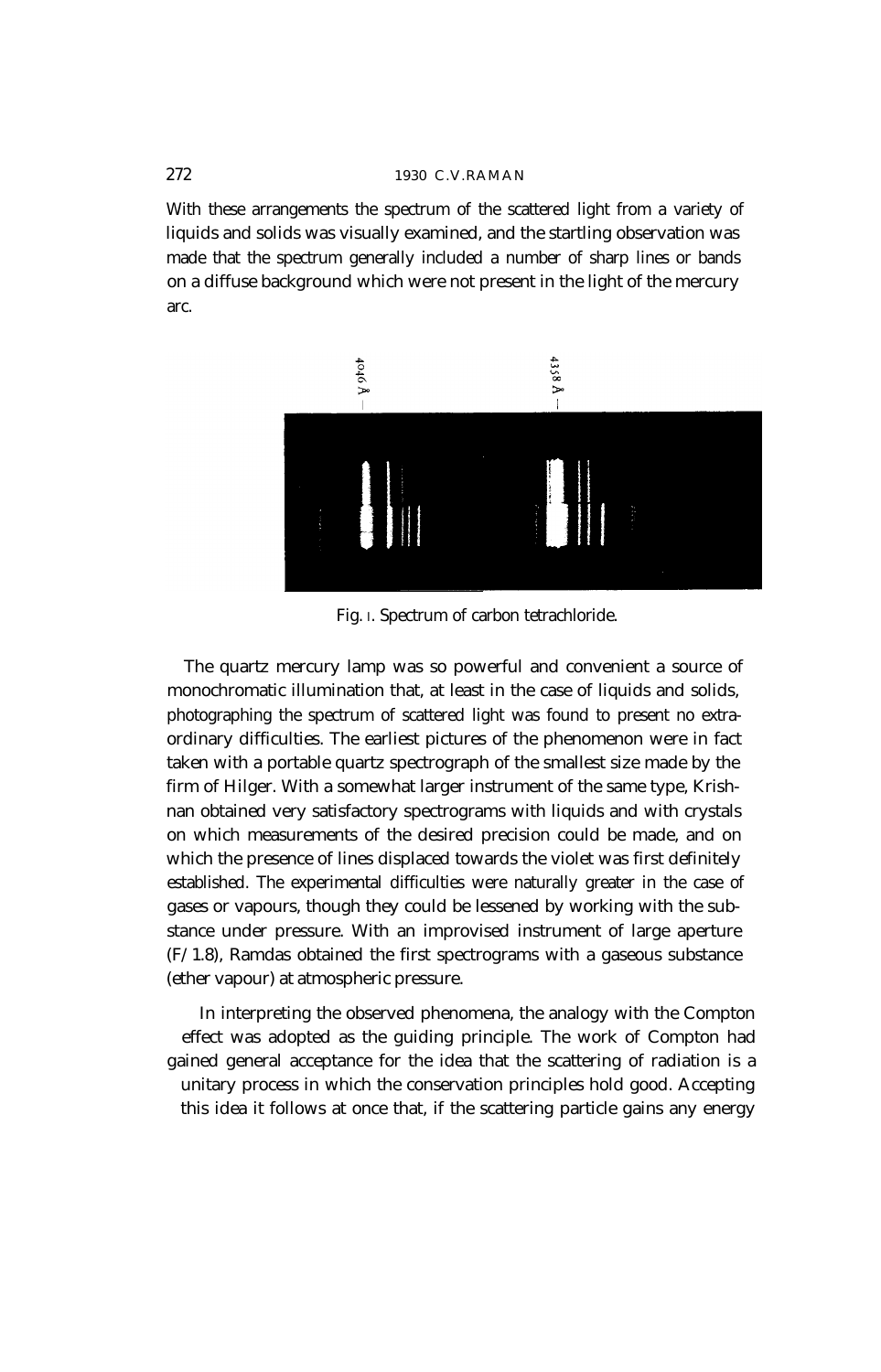With these arrangements the spectrum of the scattered light from a variety of liquids and solids was visually examined, and the startling observation was made that the spectrum generally included a number of sharp lines or bands on a diffuse background which were not present in the light of the mercury arc.



Fig. I. Spectrum of carbon tetrachloride.

The quartz mercury lamp was so powerful and convenient a source of monochromatic illumination that, at least in the case of liquids and solids, photographing the spectrum of scattered light was found to present no extraordinary difficulties. The earliest pictures of the phenomenon were in fact taken with a portable quartz spectrograph of the smallest size made by the firm of Hilger. With a somewhat larger instrument of the same type, Krishnan obtained very satisfactory spectrograms with liquids and with crystals on which measurements of the desired precision could be made, and on which the presence of lines displaced towards the violet was first definitely established. The experimental difficulties were naturally greater in the case of gases or vapours, though they could be lessened by working with the substance under pressure. With an improvised instrument of large aperture (F/1.8), Ramdas obtained the first spectrograms with a gaseous substance (ether vapour) at atmospheric pressure.

In interpreting the observed phenomena, the analogy with the Compton effect was adopted as the guiding principle. The work of Compton had gained general acceptance for the idea that the scattering of radiation is a unitary process in which the conservation principles hold good. Accepting this idea it follows at once that, if the scattering particle gains any energy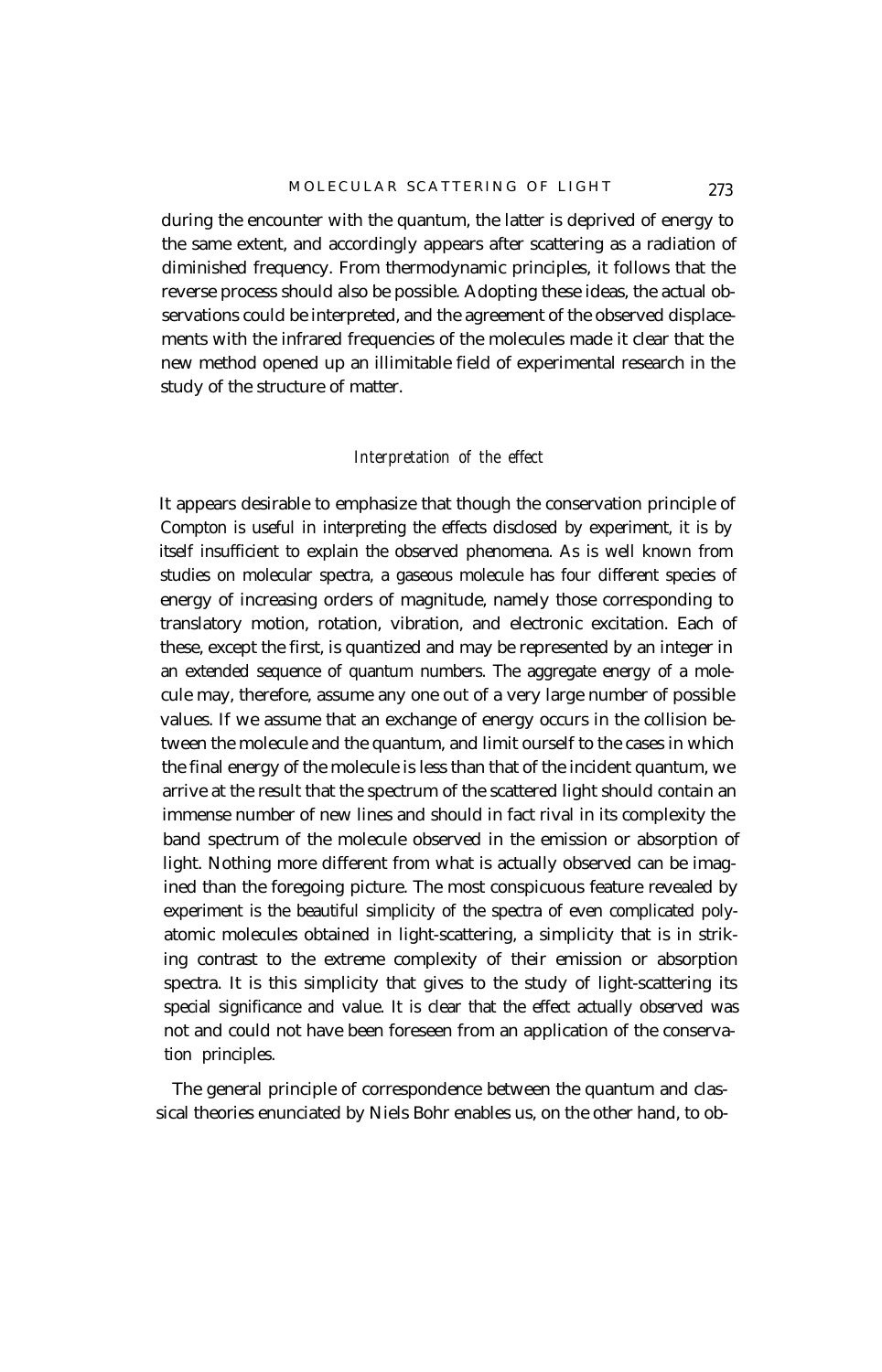during the encounter with the quantum, the latter is deprived of energy to the same extent, and accordingly appears after scattering as a radiation of diminished frequency. From thermodynamic principles, it follows that the reverse process should also be possible. Adopting these ideas, the actual observations could be interpreted, and the agreement of the observed displacements with the infrared frequencies of the molecules made it clear that the new method opened up an illimitable field of experimental research in the study of the structure of matter.

#### *Interpretation of the effect*

It appears desirable to emphasize that though the conservation principle of Compton is useful in interpreting the effects disclosed by experiment, it is by itself insufficient to explain the observed phenomena. As is well known from studies on molecular spectra, a gaseous molecule has four different species of energy of increasing orders of magnitude, namely those corresponding to translatory motion, rotation, vibration, and electronic excitation. Each of these, except the first, is quantized and may be represented by an integer in an extended sequence of quantum numbers. The aggregate energy of a molecule may, therefore, assume any one out of a very large number of possible values. If we assume that an exchange of energy occurs in the collision between the molecule and the quantum, and limit ourself to the cases in which the final energy of the molecule is less than that of the incident quantum, we arrive at the result that the spectrum of the scattered light should contain an immense number of new lines and should in fact rival in its complexity the band spectrum of the molecule observed in the emission or absorption of light. Nothing more different from what is actually observed can be imagined than the foregoing picture. The most conspicuous feature revealed by experiment is the beautiful simplicity of the spectra of even complicated polyatomic molecules obtained in light-scattering, a simplicity that is in striking contrast to the extreme complexity of their emission or absorption spectra. It is this simplicity that gives to the study of light-scattering its special significance and value. It is clear that the effect actually observed was not and could not have been foreseen from an application of the conservation principles.

The general principle of correspondence between the quantum and classical theories enunciated by Niels Bohr enables us, on the other hand, to ob-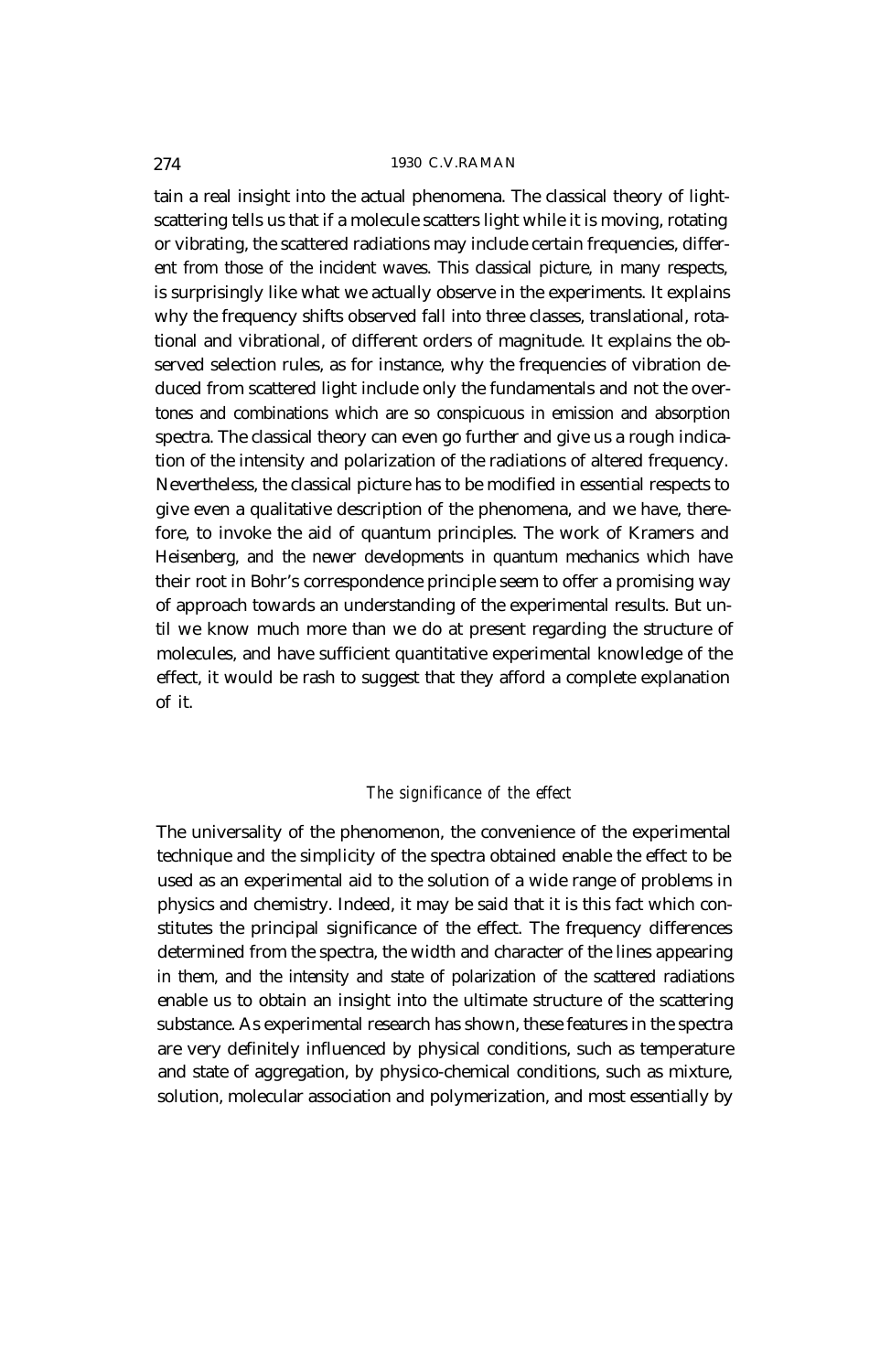#### 274 1930 C.V.RAMAN

tain a real insight into the actual phenomena. The classical theory of lightscattering tells us that if a molecule scatters light while it is moving, rotating or vibrating, the scattered radiations may include certain frequencies, different from those of the incident waves. This classical picture, in many respects, is surprisingly like what we actually observe in the experiments. It explains why the frequency shifts observed fall into three classes, translational, rotational and vibrational, of different orders of magnitude. It explains the observed selection rules, as for instance, why the frequencies of vibration deduced from scattered light include only the fundamentals and not the overtones and combinations which are so conspicuous in emission and absorption spectra. The classical theory can even go further and give us a rough indication of the intensity and polarization of the radiations of altered frequency. Nevertheless, the classical picture has to be modified in essential respects to give even a qualitative description of the phenomena, and we have, therefore, to invoke the aid of quantum principles. The work of Kramers and Heisenberg, and the newer developments in quantum mechanics which have their root in Bohr's correspondence principle seem to offer a promising way of approach towards an understanding of the experimental results. But until we know much more than we do at present regarding the structure of molecules, and have sufficient quantitative experimental knowledge of the effect, it would be rash to suggest that they afford a complete explanation of it.

### *The significance of the effect*

The universality of the phenomenon, the convenience of the experimental technique and the simplicity of the spectra obtained enable the effect to be used as an experimental aid to the solution of a wide range of problems in physics and chemistry. Indeed, it may be said that it is this fact which constitutes the principal significance of the effect. The frequency differences determined from the spectra, the width and character of the lines appearing in them, and the intensity and state of polarization of the scattered radiations enable us to obtain an insight into the ultimate structure of the scattering substance. As experimental research has shown, these features in the spectra are very definitely influenced by physical conditions, such as temperature and state of aggregation, by physico-chemical conditions, such as mixture, solution, molecular association and polymerization, and most essentially by